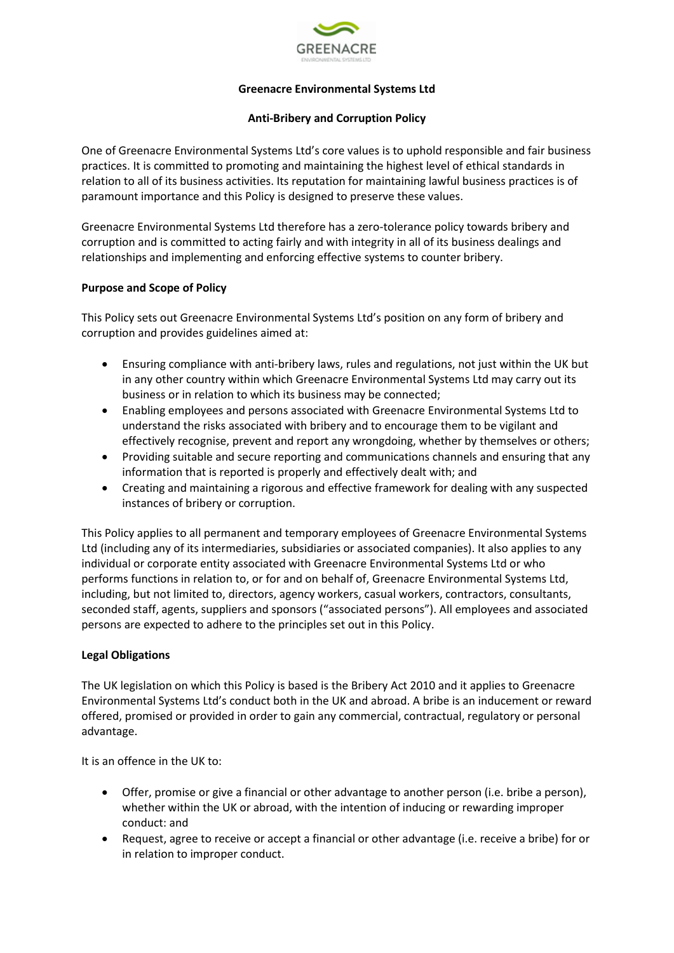

# **Greenacre Environmental Systems Ltd**

### **Anti-Bribery and Corruption Policy**

One of Greenacre Environmental Systems Ltd's core values is to uphold responsible and fair business practices. It is committed to promoting and maintaining the highest level of ethical standards in relation to all of its business activities. Its reputation for maintaining lawful business practices is of paramount importance and this Policy is designed to preserve these values.

Greenacre Environmental Systems Ltd therefore has a zero-tolerance policy towards bribery and corruption and is committed to acting fairly and with integrity in all of its business dealings and relationships and implementing and enforcing effective systems to counter bribery.

# **Purpose and Scope of Policy**

This Policy sets out Greenacre Environmental Systems Ltd's position on any form of bribery and corruption and provides guidelines aimed at:

- Ensuring compliance with anti-bribery laws, rules and regulations, not just within the UK but in any other country within which Greenacre Environmental Systems Ltd may carry out its business or in relation to which its business may be connected;
- Enabling employees and persons associated with Greenacre Environmental Systems Ltd to understand the risks associated with bribery and to encourage them to be vigilant and effectively recognise, prevent and report any wrongdoing, whether by themselves or others;
- Providing suitable and secure reporting and communications channels and ensuring that any information that is reported is properly and effectively dealt with; and
- Creating and maintaining a rigorous and effective framework for dealing with any suspected instances of bribery or corruption.

This Policy applies to all permanent and temporary employees of Greenacre Environmental Systems Ltd (including any of its intermediaries, subsidiaries or associated companies). It also applies to any individual or corporate entity associated with Greenacre Environmental Systems Ltd or who performs functions in relation to, or for and on behalf of, Greenacre Environmental Systems Ltd, including, but not limited to, directors, agency workers, casual workers, contractors, consultants, seconded staff, agents, suppliers and sponsors ("associated persons"). All employees and associated persons are expected to adhere to the principles set out in this Policy.

### **Legal Obligations**

The UK legislation on which this Policy is based is the Bribery Act 2010 and it applies to Greenacre Environmental Systems Ltd's conduct both in the UK and abroad. A bribe is an inducement or reward offered, promised or provided in order to gain any commercial, contractual, regulatory or personal advantage.

It is an offence in the UK to:

- Offer, promise or give a financial or other advantage to another person (i.e. bribe a person), whether within the UK or abroad, with the intention of inducing or rewarding improper conduct: and
- Request, agree to receive or accept a financial or other advantage (i.e. receive a bribe) for or in relation to improper conduct.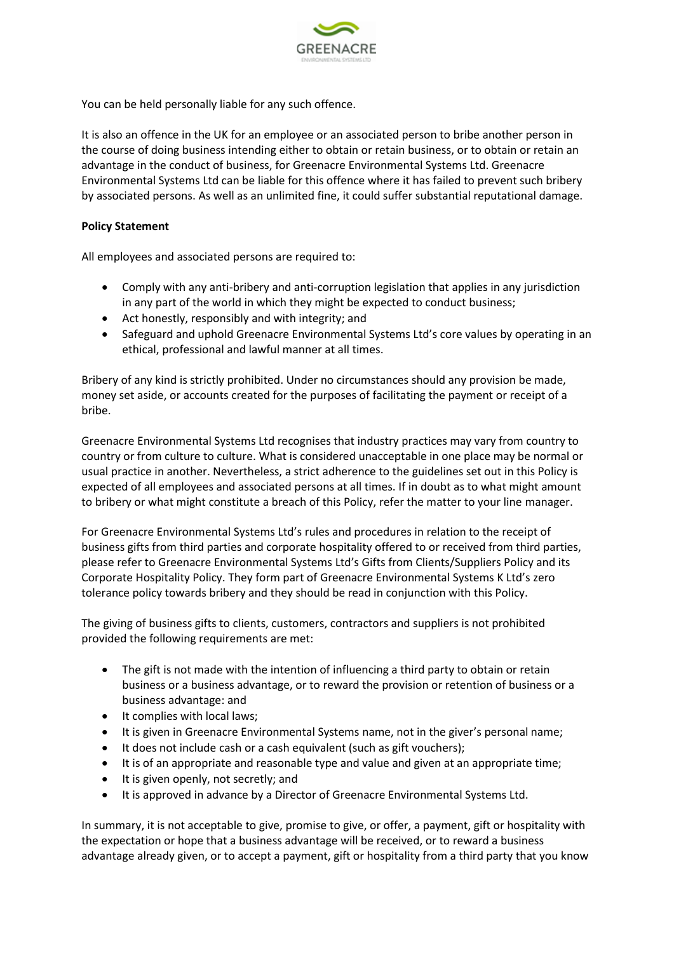

You can be held personally liable for any such offence.

It is also an offence in the UK for an employee or an associated person to bribe another person in the course of doing business intending either to obtain or retain business, or to obtain or retain an advantage in the conduct of business, for Greenacre Environmental Systems Ltd. Greenacre Environmental Systems Ltd can be liable for this offence where it has failed to prevent such bribery by associated persons. As well as an unlimited fine, it could suffer substantial reputational damage.

### **Policy Statement**

All employees and associated persons are required to:

- Comply with any anti-bribery and anti-corruption legislation that applies in any jurisdiction in any part of the world in which they might be expected to conduct business;
- Act honestly, responsibly and with integrity; and
- Safeguard and uphold Greenacre Environmental Systems Ltd's core values by operating in an ethical, professional and lawful manner at all times.

Bribery of any kind is strictly prohibited. Under no circumstances should any provision be made, money set aside, or accounts created for the purposes of facilitating the payment or receipt of a bribe.

Greenacre Environmental Systems Ltd recognises that industry practices may vary from country to country or from culture to culture. What is considered unacceptable in one place may be normal or usual practice in another. Nevertheless, a strict adherence to the guidelines set out in this Policy is expected of all employees and associated persons at all times. If in doubt as to what might amount to bribery or what might constitute a breach of this Policy, refer the matter to your line manager.

For Greenacre Environmental Systems Ltd's rules and procedures in relation to the receipt of business gifts from third parties and corporate hospitality offered to or received from third parties, please refer to Greenacre Environmental Systems Ltd's Gifts from Clients/Suppliers Policy and its Corporate Hospitality Policy. They form part of Greenacre Environmental Systems K Ltd's zero tolerance policy towards bribery and they should be read in conjunction with this Policy.

The giving of business gifts to clients, customers, contractors and suppliers is not prohibited provided the following requirements are met:

- The gift is not made with the intention of influencing a third party to obtain or retain business or a business advantage, or to reward the provision or retention of business or a business advantage: and
- It complies with local laws;
- It is given in Greenacre Environmental Systems name, not in the giver's personal name;
- It does not include cash or a cash equivalent (such as gift vouchers);
- It is of an appropriate and reasonable type and value and given at an appropriate time;
- It is given openly, not secretly; and
- It is approved in advance by a Director of Greenacre Environmental Systems Ltd.

In summary, it is not acceptable to give, promise to give, or offer, a payment, gift or hospitality with the expectation or hope that a business advantage will be received, or to reward a business advantage already given, or to accept a payment, gift or hospitality from a third party that you know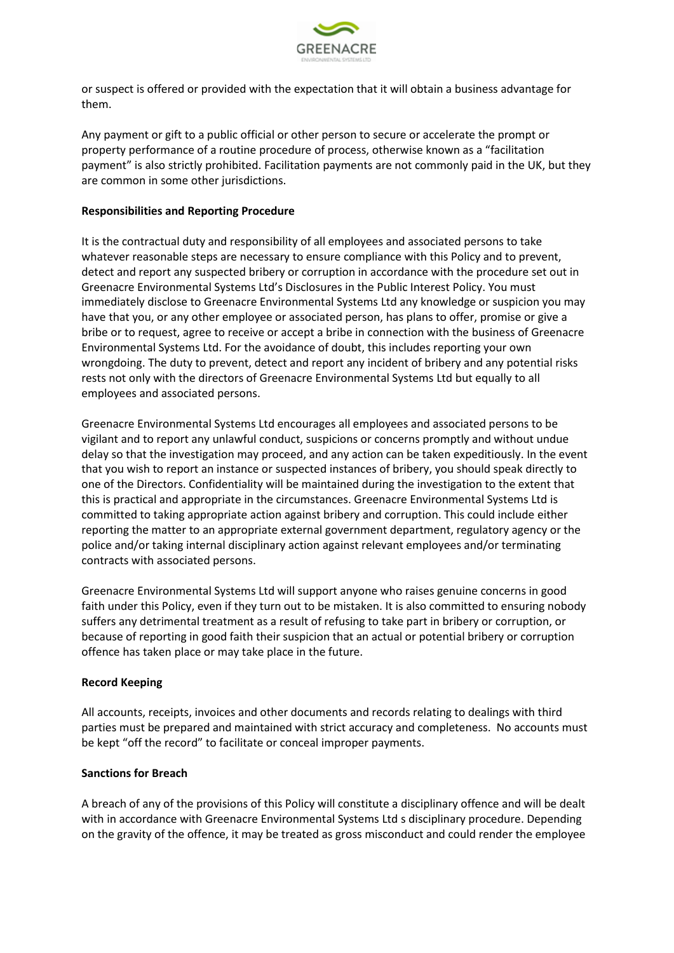

or suspect is offered or provided with the expectation that it will obtain a business advantage for them.

Any payment or gift to a public official or other person to secure or accelerate the prompt or property performance of a routine procedure of process, otherwise known as a "facilitation payment" is also strictly prohibited. Facilitation payments are not commonly paid in the UK, but they are common in some other jurisdictions.

### **Responsibilities and Reporting Procedure**

It is the contractual duty and responsibility of all employees and associated persons to take whatever reasonable steps are necessary to ensure compliance with this Policy and to prevent, detect and report any suspected bribery or corruption in accordance with the procedure set out in Greenacre Environmental Systems Ltd's Disclosures in the Public Interest Policy. You must immediately disclose to Greenacre Environmental Systems Ltd any knowledge or suspicion you may have that you, or any other employee or associated person, has plans to offer, promise or give a bribe or to request, agree to receive or accept a bribe in connection with the business of Greenacre Environmental Systems Ltd. For the avoidance of doubt, this includes reporting your own wrongdoing. The duty to prevent, detect and report any incident of bribery and any potential risks rests not only with the directors of Greenacre Environmental Systems Ltd but equally to all employees and associated persons.

Greenacre Environmental Systems Ltd encourages all employees and associated persons to be vigilant and to report any unlawful conduct, suspicions or concerns promptly and without undue delay so that the investigation may proceed, and any action can be taken expeditiously. In the event that you wish to report an instance or suspected instances of bribery, you should speak directly to one of the Directors. Confidentiality will be maintained during the investigation to the extent that this is practical and appropriate in the circumstances. Greenacre Environmental Systems Ltd is committed to taking appropriate action against bribery and corruption. This could include either reporting the matter to an appropriate external government department, regulatory agency or the police and/or taking internal disciplinary action against relevant employees and/or terminating contracts with associated persons.

Greenacre Environmental Systems Ltd will support anyone who raises genuine concerns in good faith under this Policy, even if they turn out to be mistaken. It is also committed to ensuring nobody suffers any detrimental treatment as a result of refusing to take part in bribery or corruption, or because of reporting in good faith their suspicion that an actual or potential bribery or corruption offence has taken place or may take place in the future.

### **Record Keeping**

All accounts, receipts, invoices and other documents and records relating to dealings with third parties must be prepared and maintained with strict accuracy and completeness. No accounts must be kept "off the record" to facilitate or conceal improper payments.

### **Sanctions for Breach**

A breach of any of the provisions of this Policy will constitute a disciplinary offence and will be dealt with in accordance with Greenacre Environmental Systems Ltd s disciplinary procedure. Depending on the gravity of the offence, it may be treated as gross misconduct and could render the employee